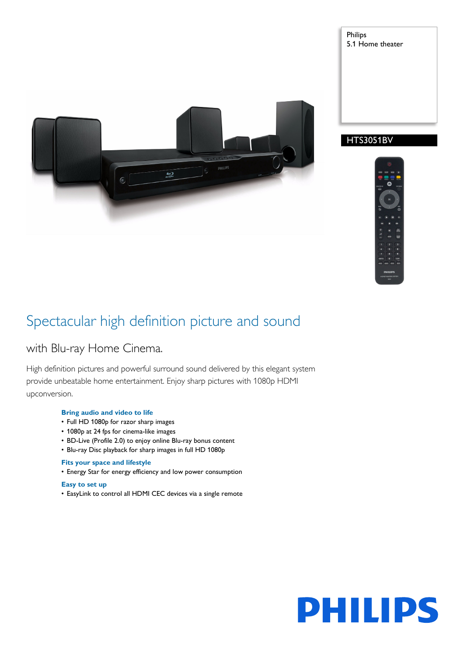5

# Philips 5.1 Home theater





# Spectacular high definition picture and sound

# with Blu-ray Home Cinema.

High definition pictures and powerful surround sound delivered by this elegant system provide unbeatable home entertainment. Enjoy sharp pictures with 1080p HDMI upconversion.

## **Bring audio and video to life**

- Full HD 1080p for razor sharp images
- 1080p at 24 fps for cinema-like images
- BD-Live (Profile 2.0) to enjoy online Blu-ray bonus content
- Blu-ray Disc playback for sharp images in full HD 1080p

## **Fits your space and lifestyle**

• Energy Star for energy efficiency and low power consumption

# **Easy to set up**

• EasyLink to control all HDMI CEC devices via a single remote

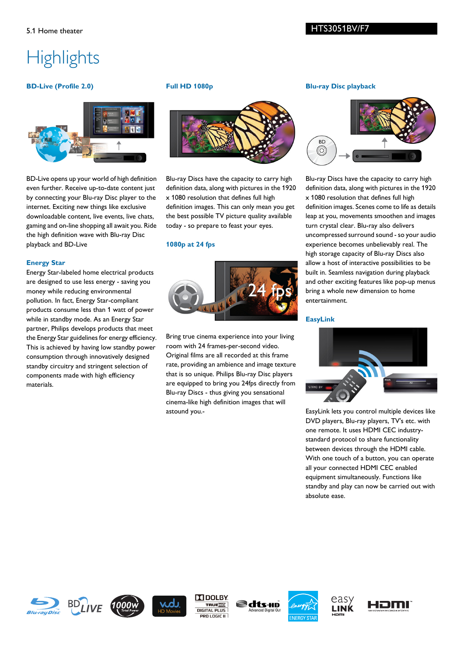# **Highlights**

## **BD-Live (Profile 2.0)**



BD-Live opens up your world of high definition even further. Receive up-to-date content just by connecting your Blu-ray Disc player to the internet. Exciting new things like exclusive downloadable content, live events, live chats, gaming and on-line shopping all await you. Ride the high definition wave with Blu-ray Disc playback and BD-Live

#### **Energy Star**

Energy Star-labeled home electrical products are designed to use less energy - saving you money while reducing environmental pollution. In fact, Energy Star-compliant products consume less than 1 watt of power while in standby mode. As an Energy Star partner, Philips develops products that meet the Energy Star guidelines for energy efficiency. This is achieved by having low standby power consumption through innovatively designed standby circuitry and stringent selection of components made with high efficiency materials.

#### **Full HD 1080p**



Blu-ray Discs have the capacity to carry high definition data, along with pictures in the 1920 x 1080 resolution that defines full high definition images. This can only mean you get the best possible TV picture quality available today - so prepare to feast your eyes.

#### **1080p at 24 fps**



Bring true cinema experience into your living room with 24 frames-per-second video. Original films are all recorded at this frame rate, providing an ambience and image texture that is so unique. Philips Blu-ray Disc players are equipped to bring you 24fps directly from Blu-ray Discs - thus giving you sensational cinema-like high definition images that will astound you.-

#### **Blu-ray Disc playback**



Blu-ray Discs have the capacity to carry high definition data, along with pictures in the 1920 x 1080 resolution that defines full high definition images. Scenes come to life as details leap at you, movements smoothen and images turn crystal clear. Blu-ray also delivers uncompressed surround sound - so your audio experience becomes unbelievably real. The high storage capacity of Blu-ray Discs also allow a host of interactive possibilities to be built in. Seamless navigation during playback and other exciting features like pop-up menus bring a whole new dimension to home entertainment.

#### **EasyLink**



EasyLink lets you control multiple devices like DVD players, Blu-ray players, TV's etc. with one remote. It uses HDMI CEC industrystandard protocol to share functionality between devices through the HDMI cable. With one touch of a button, you can operate all your connected HDMI CEC enabled equipment simultaneously. Functions like standby and play can now be carried out with absolute ease.